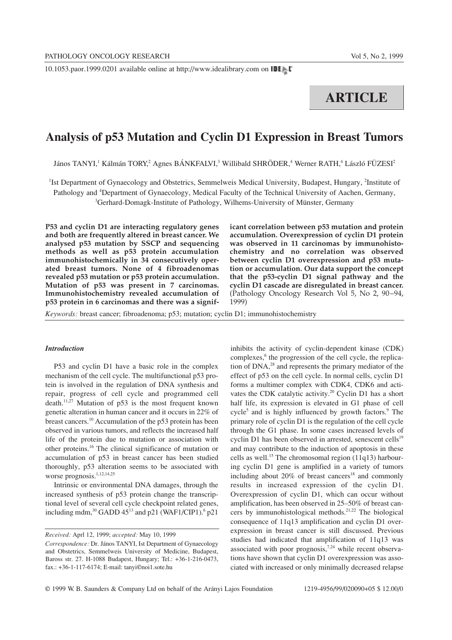10.1053.paor.1999.0201 available online at http://www.idealibrary.com on

# **ARTICLE**

# **Analysis of p53 Mutation and Cyclin D1 Expression in Breast Tumors**

János TANYI,<sup>1</sup> Kálmán TORY,<sup>2</sup> Agnes BÁNKFALVI,<sup>3</sup> Willibald SHRÖDER,<sup>4</sup> Werner RATH,<sup>4</sup> László FÜZESI<sup>2</sup>

<sup>1</sup>Ist Department of Gynaecology and Obstetrics, Semmelweis Medical University, Budapest, Hungary, <sup>2</sup>Institute of Pathology and <sup>4</sup>Department of Gynaecology, Medical Faculty of the Technical University of Aachen, Germany, <sup>3</sup>Gerhard-Domagk-Institute of Pathology, Wilhems-University of Münster, Germany

**P53 and cyclin D1 are interacting regulatory genes and both are frequently altered in breast cancer. We analysed p53 mutation by SSCP and sequencing methods as well as p53 protein accumulation immunohistochemically in 34 consecutively operated breast tumors. None of 4 fibroadenomas revealed p53 mutation or p53 protein accumulation. Mutation of p53 was present in 7 carcinomas. Immunohistochemistry revealed accumulation of p53 protein in 6 carcinomas and there was a signif-** **icant correlation between p53 mutation and protein accumulation. Overexpression of cyclin D1 protein was observed in 11 carcinomas by immunohistochemistry and no correlation was observed between cyclin D1 overexpression and p53 mutation or accumulation. Our data support the concept that the p53-cyclin D1 signal pathway and the cyclin D1 cascade are disregulated in breast cancer.** (Pathology Oncology Research Vol 5, No 2, 90–94, 1999)

*Keywords:* breast cancer; fibroadenoma; p53; mutation; cyclin D1; immunohistochemistry

# *Introduction*

P53 and cyclin D1 have a basic role in the complex mechanism of the cell cycle. The multifunctional p53 protein is involved in the regulation of DNA synthesis and repair, progress of cell cycle and programmed cell death.<sup>11,27</sup> Mutation of p53 is the most frequent known genetic alteration in human cancer and it occurs in 22% of breast cancers.10 Accumulation of the p53 protein has been observed in various tumors, and reflects the increased half life of the protein due to mutation or association with other proteins.16 The clinical significance of mutation or accumulation of p53 in breast cancer has been studied thoroughly, p53 alteration seems to be associated with worse prognosis.<sup>1,12,14,25</sup>

Intrinsic or environmental DNA damages, through the increased synthesis of p53 protein change the transcriptional level of several cell cycle checkpoint related genes, including mdm, $^{30}$  GADD 45<sup>13</sup> and p21 (WAF1/CIP1).<sup>6</sup> p21

*Received:* Aprl 12, 1999; *accepted:* May 10, 1999

inhibits the activity of cyclin-dependent kinase (CDK) complexes,<sup>6</sup> the progression of the cell cycle, the replication of  $DNA<sub>1</sub><sup>28</sup>$  and represents the primary mediator of the effect of p53 on the cell cycle. In normal cells, cyclin D1 forms a multimer complex with CDK4, CDK6 and activates the CDK catalytic activity.<sup>20</sup> Cyclin D1 has a short half life, its expression is elevated in G1 phase of cell cycle<sup>5</sup> and is highly influenced by growth factors. $9$  The primary role of cyclin D1 is the regulation of the cell cycle through the G1 phase. In some cases increased levels of cyclin D1 has been observed in arrested, senescent cells $19$ and may contribute to the induction of apoptosis in these cells as well.<sup>15</sup> The chromosomal region  $(11q13)$  harbouring cyclin D1 gene is amplified in a variety of tumors including about  $20\%$  of breast cancers<sup>18</sup> and commonly results in increased expression of the cyclin D1. Overexpression of cyclin D1, which can occur without amplification, has been observed in 25–50% of breast cancers by immunohistological methods.<sup>21,22</sup> The biological consequence of 11q13 amplification and cyclin D1 overexpression in breast cancer is still discussed. Previous studies had indicated that amplification of 11q13 was associated with poor prognosis,<sup>7,24</sup> while recent observations have shown that cyclin D1 overexpression was associated with increased or only minimally decreased relapse

*Correspondence:* Dr. János TANYI, Ist Department of Gynaecology and Obstetrics, Semmelweis University of Medicine, Budapest, Baross str. 27. H-1088 Budapest, Hungary; Tel.: +36-1-216-0473, fax.: +36-1-117-6174; E-mail: tanyi©noi1.sote.hu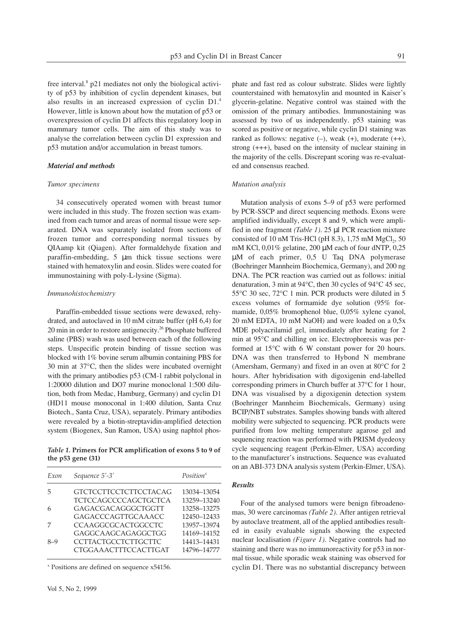free interval.8 p21 mediates not only the biological activity of p53 by inhibition of cyclin dependent kinases, but also results in an increased expression of cyclin D1.4 However, little is known about how the mutation of p53 or overexpression of cyclin D1 affects this regulatory loop in mammary tumor cells. The aim of this study was to analyse the correlation between cyclin D1 expression and p53 mutation and/or accumulation in breast tumors.

# *Material and methods*

#### *Tumor specimens*

34 consecutively operated women with breast tumor were included in this study. The frozen section was examined from each tumor and areas of normal tissue were separated. DNA was separately isolated from sections of frozen tumor and corresponding normal tissues by QIAamp kit (Qiagen). After formaldehyde fixation and paraffin-embedding, 5 µm thick tissue sections were stained with hematoxylin and eosin. Slides were coated for immunostaining with poly-L-lysine (Sigma).

#### *Immunohistochemistry*

Paraffin-embedded tissue sections were dewaxed, rehydrated, and autoclaved in 10 mM citrate buffer (pH 6,4) for 20 min in order to restore antigenecity.<sup>26</sup> Phosphate buffered saline (PBS) wash was used between each of the following steps. Unspecific protein binding of tissue section was blocked with 1% bovine serum albumin containing PBS for 30 min at 37°C, then the slides were incubated overnight with the primary antibodies p53 (CM-1 rabbit polyclonal in 1:20000 dilution and DO7 murine monoclonal 1:500 dilution, both from Medac, Hamburg, Germany) and cyclin D1 (HD11 mouse monoconal in 1:400 dilution, Santa Cruz Biotech., Santa Cruz, USA), separately. Primary antibodies were revealed by a biotin-streptavidin-amplified detection system (Biogenex, Sun Ramon, USA) using naphtol phos-

*Table 1.* **Primers for PCR amplification of exons 5 to 9 of the p53 gene (31)**

| Exon  | Sequence 5'-3'               | Position <sup>x</sup> |
|-------|------------------------------|-----------------------|
| 5     | <b>GTCTCCTTCCTCTTCCTACAG</b> | 13034-13054           |
|       | <b>TCTCCAGCCCCAGCTGCTCA</b>  | 13259-13240           |
| 6     | GAGACGACAGGGCTGGTT           | 13258-13275           |
|       | GAGACCCAGTTGCAAACC           | 12450-12433           |
|       | CCAAGGCGCACTGGCCTC           | 13957-13974           |
|       | GAGGCAAGCAGAGGCTGG           | 14169-14152           |
| $8-9$ | <b>CCTTACTGCCTCTTGCTTC</b>   | 14413-14431           |
|       | <b>CTGGAAACTTTCCACTTGAT</b>  | 14796-14777           |

<sup>x</sup> Positions are defined on sequence x54156.

phate and fast red as colour substrate. Slides were lightly counterstained with hematoxylin and mounted in Kaiser's glycerin-gelatine. Negative control was stained with the omission of the primary antibodies. Immunostaining was assessed by two of us independently. p53 staining was scored as positive or negative, while cyclin D1 staining was ranked as follows: negative  $(-)$ , weak  $(+)$ , moderate  $(+)$ , strong (+++), based on the intensity of nuclear staining in the majority of the cells. Discrepant scoring was re-evaluated and consensus reached.

# *Mutation analysis*

Mutation analysis of exons 5–9 of p53 were performed by PCR-SSCP and direct sequencing methods. Exons were amplified individually, except 8 and 9, which were amplified in one fragment *(Table 1)*. 25 µl PCR reaction mixture consisted of 10 nM Tris-HCl (pH  $8.3$ ), 1,75 mM MgCl<sub>2</sub>, 50 mM KCl, 0,01% gelatine, 200 µM each of four dNTP, 0,25 µM of each primer, 0,5 U Taq DNA polymerase (Boehringer Mannheim Biochemica, Germany), and 200 ng DNA. The PCR reaction was carried out as follows: initial denaturation, 3 min at 94°C, then 30 cycles of 94°C 45 sec, 55°C 30 sec, 72°C 1 min. PCR products were diluted in 5 excess volumes of formamide dye solution (95% formamide, 0,05% bromophenol blue, 0,05% xylene cyanol, 20 mM EDTA, 10 mM NaOH) and were loaded on a 0,5x MDE polyacrilamid gel, immediately after heating for 2 min at 95°C and chilling on ice. Electrophoresis was performed at 15°C with 6 W constant power for 20 hours. DNA was then transferred to Hybond N membrane (Amersham, Germany) and fixed in an oven at 80°C for 2 hours. After hybridisation with digoxigenin end-labelled corresponding primers in Church buffer at 37°C for 1 hour, DNA was visualised by a digoxigenin detection system (Boehringer Mannheim Biochemicals, Germany) using BCIP/NBT substrates. Samples showing bands with altered mobility were subjected to sequencing. PCR products were purified from low melting temperature agarose gel and sequencing reaction was performed with PRISM dyedeoxy cycle sequencing reagent (Perkin-Elmer, USA) according to the manufacturer's instructions. Sequence was evaluated on an ABI-373 DNA analysis system (Perkin-Elmer, USA).

## *Results*

Four of the analysed tumors were benign fibroadenomas, 30 were carcinomas *(Table 2)*. After antigen retrieval by autoclave treatment, all of the applied antibodies resulted in easily evaluable signals showing the expected nuclear localisation *(Figure 1)*. Negative controls had no staining and there was no immunoreactivity for p53 in normal tissue, while sporadic weak staining was observed for cyclin D1. There was no substantial discrepancy between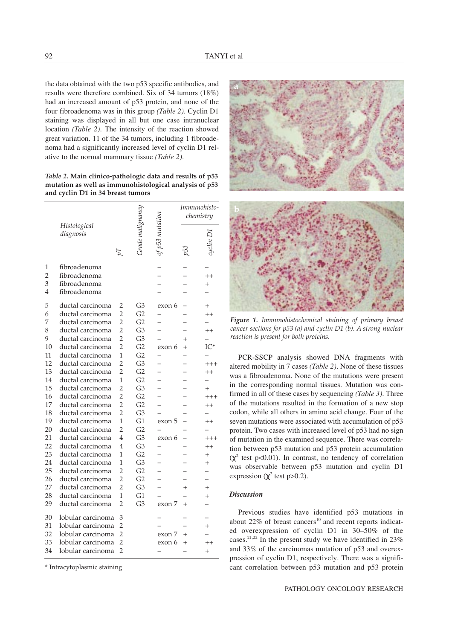the data obtained with the two p53 specific antibodies, and results were therefore combined. Six of 34 tumors (18%) had an increased amount of p53 protein, and none of the four fibroadenoma was in this group *(Table 2)*. Cyclin D1 staining was displayed in all but one case intranuclear location *(Table 2)*. The intensity of the reaction showed great variation. 11 of the 34 tumors, including 1 fibroadenoma had a significantly increased level of cyclin D1 relative to the normal mammary tissue *(Table 2)*.

*Table 2.* **Main clinico-pathologic data and results of p53 mutation as well as immunohistological analysis of p53 and cyclin D1 in 34 breast tumors**

|                |                           |                |                |        | Immunohisto-<br>chemistry |                |
|----------------|---------------------------|----------------|----------------|--------|---------------------------|----------------|
|                | Histological<br>diagnosis | $\overline{L}$ |                |        | 53                        |                |
| 1              | fibroadenoma              |                |                |        |                           |                |
| $\overline{2}$ | fibroadenoma              |                |                |        |                           | $^{++}$        |
| 3              | fibroadenoma              |                |                |        |                           | $^+$           |
| 4              | fibroadenoma              |                |                |        |                           |                |
| 5              | ductal carcinoma          | 2              | G3             | exon 6 |                           | $^{+}$         |
| 6              | ductal carcinoma          | $\overline{2}$ | G <sub>2</sub> |        |                           | $^{++}$        |
| 7              | ductal carcinoma          | $\overline{2}$ | G <sub>2</sub> |        |                           |                |
| 8              | ductal carcinoma          | $\overline{2}$ | G <sub>3</sub> |        |                           | $^{++}$        |
| 9              | ductal carcinoma          | $\overline{2}$ | G <sub>3</sub> |        | $^{+}$                    |                |
| 10             | ductal carcinoma          | $\mathcal{P}$  | G <sub>2</sub> | exon 6 | $^{+}$                    | $IC^*$         |
| 11             | ductal carcinoma          | 1              | G <sub>2</sub> |        |                           |                |
| 12             | ductal carcinoma          | $\overline{2}$ | G <sub>3</sub> |        |                           | $+++$          |
| 13             | ductal carcinoma          | $\overline{2}$ | G <sub>2</sub> |        |                           | $^{++}$        |
| 14             | ductal carcinoma          | 1              | G <sub>2</sub> |        |                           |                |
| 15             | ductal carcinoma          | $\overline{2}$ | G <sub>3</sub> |        |                           | $^{+}$         |
| 16             | ductal carcinoma          | $\overline{2}$ | G <sub>2</sub> |        |                           | $+++$          |
| 17             | ductal carcinoma          | $\overline{2}$ | G <sub>2</sub> |        |                           | $^{++}$        |
| 18             | ductal carcinoma          | $\overline{2}$ | G <sub>3</sub> |        |                           |                |
| 19             | ductal carcinoma          | 1              | G1             | exon 5 |                           | $^{++}$        |
| 20             | ductal carcinoma          | $\overline{2}$ | G <sub>2</sub> |        |                           |                |
| 21             | ductal carcinoma          | $\overline{4}$ | G <sub>3</sub> | exon 6 |                           | $+++$          |
| 22             | ductal carcinoma          | 4              | G <sub>3</sub> |        |                           | $^{++}$        |
| 23             | ductal carcinoma          | 1              | G <sub>2</sub> |        |                           | $^{+}$         |
| 24             | ductal carcinoma          | 1              | G <sub>3</sub> |        |                           | $\overline{+}$ |
| 25             | ductal carcinoma          | $\overline{2}$ | G <sub>2</sub> |        |                           |                |
| 26             | ductal carcinoma          | $\overline{2}$ | G <sub>2</sub> |        |                           |                |
| 27             | ductal carcinoma          | $\mathcal{P}$  | G <sub>3</sub> |        | $\overline{+}$            | $\overline{+}$ |
| 28             | ductal carcinoma          | 1              | G1             |        |                           | $\ddot{}$      |
| 29             | ductal carcinoma          | $\overline{2}$ | G <sub>3</sub> | exon 7 | $^{+}$                    |                |
| 30             | lobular carcinoma         | 3              |                |        |                           |                |
| 31             | lobular carcinoma         | $\overline{2}$ |                |        |                           | $^{+}$         |
| 32             | lobular carcinoma         | $\overline{2}$ |                | exon 7 |                           |                |
| 33             | lobular carcinoma         | $\overline{2}$ |                | exon 6 | $^{+}$                    |                |
| 34             | lobular carcinoma         | $\overline{2}$ |                |        |                           | $^{+}$         |

\* Intracytoplasmic staining



*Figure 1. Immunohistochemical staining of primary breast cancer sections for p53 (a) and cyclin D1 (b). A strong nuclear reaction is present for both proteins.*

PCR-SSCP analysis showed DNA fragments with altered mobility in 7 cases *(Table 2)*. None of these tissues was a fibroadenoma. None of the mutations were present in the corresponding normal tissues. Mutation was confirmed in all of these cases by sequencing *(Table 3)*. Three of the mutations resulted in the formation of a new stop codon, while all others in amino acid change. Four of the seven mutations were associated with accumulation of p53 protein. Two cases with increased level of p53 had no sign of mutation in the examined sequence. There was correlation between p53 mutation and p53 protein accumulation  $(\chi^2$  test p<0.01). In contrast, no tendency of correlation was observable between p53 mutation and cyclin D1 expression ( $\chi^2$  test p>0.2).

## *Discussion*

Previous studies have identified p53 mutations in about  $22\%$  of breast cancers<sup>10</sup> and recent reports indicated overexpression of cyclin D1 in 30–50% of the cases.21,22 In the present study we have identified in 23% and 33% of the carcinomas mutation of p53 and overexpression of cyclin D1, respectively. There was a significant correlation between p53 mutation and p53 protein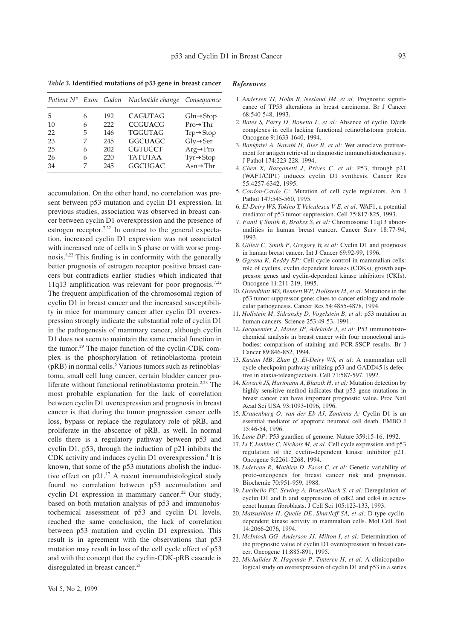*Table 3.* **Identified mutations of p53 gene in breast cancer**

|    |   |     | Patient N° Exon Codon Nucleotide change | Consequence            |
|----|---|-----|-----------------------------------------|------------------------|
| 5  | 6 | 192 | <b>CAGUTAG</b>                          | $Gln \rightarrow Stop$ |
| 10 | 6 | 222 | <b>CCGUACG</b>                          | $Pro\rightarrow Thr$   |
| 22 | 5 | 146 | <b>TGGUTAG</b>                          | $Trp \rightarrow Stop$ |
| 23 | 7 | 245 | <b>GGCUAGC</b>                          | $Gly \rightarrow Ser$  |
| 25 | 6 | 202 | <b>CGTUCCT</b>                          | $Arg \rightarrow Pro$  |
| 26 | 6 | 220 | <b>TATUTAA</b>                          | $Tyr \rightarrow Stop$ |
| 34 |   | 245 | <b>GGCUGAC</b>                          | $Asn\rightarrow Thr$   |

accumulation. On the other hand, no correlation was present between p53 mutation and cyclin D1 expression. In previous studies, association was observed in breast cancer between cyclin D1 overexpression and the presence of estrogen receptor.<sup>7,22</sup> In contrast to the general expectation, increased cyclin D1 expression was not associated with increased rate of cells in S phase or with worse prognosis.<sup>8,22</sup> This finding is in conformity with the generally better prognosis of estrogen receptor positive breast cancers but contradicts earlier studies which indicated that 11q13 amplification was relevant for poor prognosis.<sup>7,22</sup> The frequent amplification of the chromosomal region of cyclin D1 in breast cancer and the increased susceptibility in mice for mammary cancer after cyclin D1 overexpression strongly indicate the substantial role of cyclin D1 in the pathogenesis of mammary cancer, although cyclin D1 does not seem to maintain the same crucial function in the tumor.<sup>29</sup> The major function of the cyclin-CDK complex is the phosphorylation of retinoblastoma protein  $(pRB)$  in normal cells.<sup>5</sup> Various tumors such as retinoblastoma, small cell lung cancer, certain bladder cancer proliferate without functional retinoblastoma protein.<sup>2,23</sup> The most probable explanation for the lack of correlation between cyclin D1 overexpression and prognosis in breast cancer is that during the tumor progression cancer cells loss, bypass or replace the regulatory role of pRB, and proliferate in the abscence of pRB, as well. In normal cells there is a regulatory pathway between p53 and cyclin D1. p53, through the induction of p21 inhibits the CDK activity and induces cyclin D1 overexpression.<sup>4</sup> It is known, that some of the p53 mutations abolish the inductive effect on  $p21$ .<sup>17</sup> A recent immunohistological study found no correlation between p53 accumulation and cyclin D1 expression in mammary cancer.<sup>22</sup> Our study, based on both mutation analysis of p53 and immunohistochemical assessment of p53 and cyclin D1 levels, reached the same conclusion, the lack of correlation between p53 mutation and cyclin D1 expression. This result is in agreement with the observations that p53 mutation may result in loss of the cell cycle effect of p53 and with the concept that the cyclin-CDK-pRB cascade is disregulated in breast cancer.<sup>21</sup>

#### *References*

- 1. Andersen TI, Holm R, Nesland JM, et al: Prognostic significance of TP53 alterations in breast carcinoma. Br J Cancer 68:540-548, 1993.
- 2. Bates S, Parry D, Bonetta L, et al: Absence of cyclin D/cdk complexes in cells lacking functional retinoblastoma protein. Oncogene 9:1633-1640, 1994.
- 3. Bankfalvi A, Navabi H, Bier B, et al: Wet autoclave pretreatment for antigen retrieval in diagnostic immunohistochemistry. J Pathol 174:223-228, 1994.
- 4. *Chen X, Bargonetti J, Prives C, et al:* P53, through p21 (WAF1/CIP1) induces cyclin D1 synthesis. Cancer Res 55:4257-6342, 1995.
- 5. *Cordon-Cardo C:* Mutation of cell cycle regulators. Am J Pathol 147:545-560, 1995.
- 6. El-Deiry WS, Tokino T, Velculescu V E, et al: WAF1, a potential mediator of p53 tumor suppression. Cell 75:817-825, 1993.
- 7. Fantl V, Smith R, Brokes S, et al: Chromosome 11q13 abnormalities in human breast cancer. Cancer Surv 18:77-94, 1993.
- 8. Gillett C, Smith P, Gregory W, et al: Cyclin D1 and prognosis in human breast cancer. Int J Cancer 69:92-99, 1996.
- 9. *Ggrana K, Reddy EP*: Cell cycle control in mammalian cells: role of cyclins, cyclin dependent kinases (CDKs), growth suppressor genes and cyclin-dependent kinase inhibitors (CKIs). Oncogene 11:211-219, 1995.
- 10. *Greenblatt MS, Bennett WP, Hollstein M, et al: Mutations in the* p53 tumor suppressor gene: clues to cancer etiology and molecular pathogenesis. Cancer Res 54:4855-4878, 1994.
- 11. *Hollstein M, Sidransky D, Vogelstein B, et al:* p53 mutation in human cancers. Science 253:49-53, 1991.
- 12. Jacquemier J, Moles JP, Adelaide J, et al: P53 immunohistochemical analysis in breast cancer with four monoclonal antibodies: comparison of staining and PCR-SSCP results. Br J Cancer 89:846-852, 1994.
- 13. *Kastan MB, Zhan Q, El-Deiry WS, et al:* A mammalian cell cycle checkpoint pathway utilizing p53 and GADD45 is defective in ataxia-teleangiectasia. Cell 71:587-597, 1992.
- 14. *Kovach JS, Hartmann A, Blaszik H, et al: Mutation detection by* highly sensitive method indicates that p53 gene mutations in breast cancer can have important prognostic value. Proc Natl Acad Sci USA 93:1093-1096, 1996.
- 15.² *Kranenburg O, van der Eb AJ, Zantema A:* Cyclin D1 is an essential mediator of apoptotic neuronal cell death. EMBO J 15:46-54, 1996.
- 16. *Lane DP*: P53 guardien of genome. Nature 359:15-16, 1992.
- 17. Li Y, Jenkins C, Nichols M, et al: Cell cycle expression and p53 regulation of the cyclin-dependent kinase inhibitor p21. Oncogene 9:2261-2268, 1994.
- 18. Lidereau R, Mathieu D, Escot C, et al: Genetic variability of proto-oncogenes for breast cancer risk and prognosis. Biochemie 70:951-959, 1988.
- 19. *Lucibello FC, Sewing A, Brusselbach S, et al: Deregulation of* cyclin D1 and E and suppression of cdk2 and cdk4 in senescenct human fibroblasts. J Cell Sci 105:123-133, 1993.
- 20. Matsushime H, Quelle DE, Shurtleff SA, et al: D-type cyclindependent kinase activity in mammalian cells. Mol Cell Biol 14:2066-2076, 1994.
- 21. *McIntosh GG, Anderson JJ, Milton I, et al: Determination of* the prognostic value of cyclin D1 overexpression in breast cancer. Oncogene 11:885-891, 1995.
- 22. Michalides R, Hageman P, Tinteren H, et al: A clinicopathological study on overexpression of cyclin D1 and p53 in a series